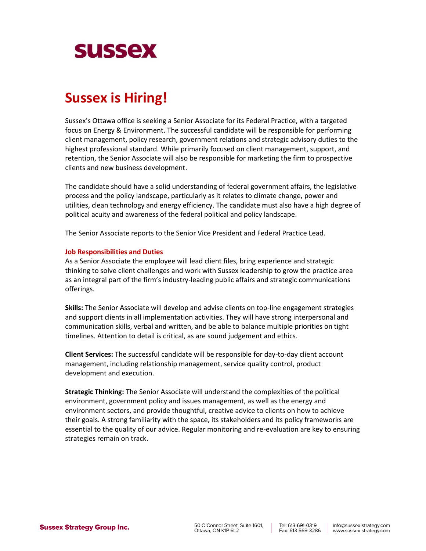

# **Sussex is Hiring!**

Sussex's Ottawa office is seeking a Senior Associate for its Federal Practice, with a targeted focus on Energy & Environment. The successful candidate will be responsible for performing client management, policy research, government relations and strategic advisory duties to the highest professional standard. While primarily focused on client management, support, and retention, the Senior Associate will also be responsible for marketing the firm to prospective clients and new business development.

The candidate should have a solid understanding of federal government affairs, the legislative process and the policy landscape, particularly as it relates to climate change, power and utilities, clean technology and energy efficiency. The candidate must also have a high degree of political acuity and awareness of the federal political and policy landscape.

The Senior Associate reports to the Senior Vice President and Federal Practice Lead.

## **Job Responsibilities and Duties**

As a Senior Associate the employee will lead client files, bring experience and strategic thinking to solve client challenges and work with Sussex leadership to grow the practice area as an integral part of the firm's industry-leading public affairs and strategic communications offerings.

**Skills:** The Senior Associate will develop and advise clients on top-line engagement strategies and support clients in all implementation activities. They will have strong interpersonal and communication skills, verbal and written, and be able to balance multiple priorities on tight timelines. Attention to detail is critical, as are sound judgement and ethics.

**Client Services:** The successful candidate will be responsible for day-to-day client account management, including relationship management, service quality control, product development and execution.

**Strategic Thinking:** The Senior Associate will understand the complexities of the political environment, government policy and issues management, as well as the energy and environment sectors, and provide thoughtful, creative advice to clients on how to achieve their goals. A strong familiarity with the space, its stakeholders and its policy frameworks are essential to the quality of our advice. Regular monitoring and re-evaluation are key to ensuring strategies remain on track.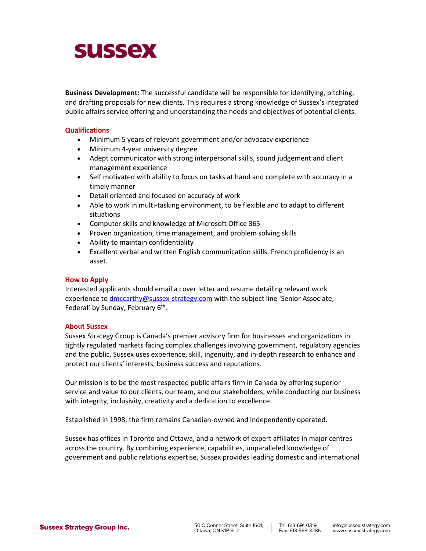# **SUSSEX**

**Business Development:** The successful candidate will be responsible for identifying, pitching, and drafting proposals for new clients. This requires a strong knowledge of Sussex's integrated public affairs service offering and understanding the needs and objectives of potential clients.

# **Qualifications**

- Minimum 5 years of relevant government and/or advocacy experience
- Minimum 4-year university degree
- Adept communicator with strong interpersonal skills, sound judgement and client management experience
- Self motivated with ability to focus on tasks at hand and complete with accuracy in a timely manner
- Detail oriented and focused on accuracy of work
- Able to work in multi-tasking environment, to be flexible and to adapt to different situations
- Computer skills and knowledge of Microsoft Office 365
- Proven organization, time management, and problem solving skills
- Ability to maintain confidentiality
- Excellent verbal and written English communication skills. French proficiency is an asset.

## **How to Apply**

Interested applicants should email a cover letter and resume detailing relevant work experience to [dmccarthy@sussex-strategy.com](mailto:dmccarthy@sussex-strategy.com) with the subject line 'Senior Associate, Federal' by Sunday, February 6<sup>th</sup>.

## **About Sussex**

Sussex Strategy Group is Canada's premier advisory firm for businesses and organizations in tightly regulated markets facing complex challenges involving government, regulatory agencies and the public. Sussex uses experience, skill, ingenuity, and in-depth research to enhance and protect our clients' interests, business success and reputations.

Our mission is to be the most respected public affairs firm in Canada by offering superior service and value to our clients, our team, and our stakeholders, while conducting our business with integrity, inclusivity, creativity and a dedication to excellence.

Established in 1998, the firm remains Canadian-owned and independently operated.

Sussex has offices in Toronto and Ottawa, and a network of expert affiliates in major centres across the country. By combining experience, capabilities, unparalleled knowledge of government and public relations expertise, Sussex provides leading domestic and international